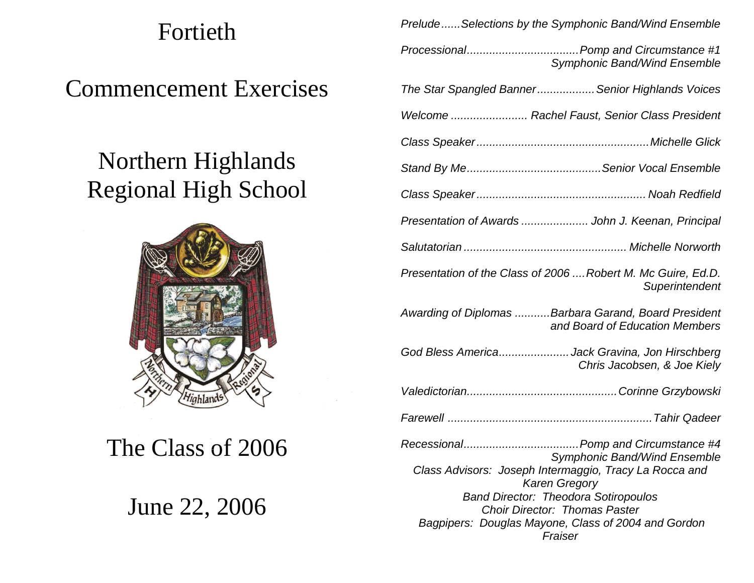# Fortieth

Commencement Exercises

# Northern Highlands Regional High School



The Class of 2006

June 22, 2006

|                                                                                                                                                                                                                                         | Symphonic Band/Wind Ensemble        |
|-----------------------------------------------------------------------------------------------------------------------------------------------------------------------------------------------------------------------------------------|-------------------------------------|
| The Star Spangled Banner Senior Highlands Voices                                                                                                                                                                                        |                                     |
| Welcome  Rachel Faust, Senior Class President                                                                                                                                                                                           |                                     |
|                                                                                                                                                                                                                                         |                                     |
|                                                                                                                                                                                                                                         |                                     |
|                                                                                                                                                                                                                                         |                                     |
| Presentation of Awards  John J. Keenan, Principal                                                                                                                                                                                       |                                     |
|                                                                                                                                                                                                                                         |                                     |
| Presentation of the Class of 2006  Robert M. Mc Guire, Ed.D.                                                                                                                                                                            | Superintendent                      |
| Awarding of Diplomas Barbara Garand, Board President                                                                                                                                                                                    | and Board of Education Members      |
| God Bless AmericaJack Gravina, Jon Hirschberg                                                                                                                                                                                           | Chris Jacobsen, & Joe Kiely         |
|                                                                                                                                                                                                                                         |                                     |
|                                                                                                                                                                                                                                         |                                     |
| Class Advisors: Joseph Intermaggio, Tracy La Rocca and<br><b>Karen Gregory</b><br><b>Band Director: Theodora Sotiropoulos</b><br><b>Choir Director: Thomas Paster</b><br>Bagpipers: Douglas Mayone, Class of 2004 and Gordon<br>Fraiser | <b>Symphonic Band/Wind Ensemble</b> |

*Prelude......Selections by the Symphonic Band/Wind Ensemble*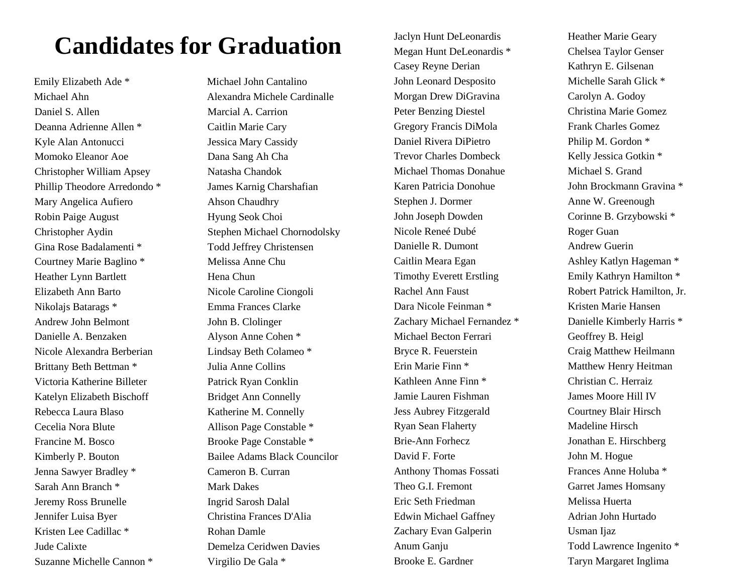### **Candidates for Graduation**

Daniel S. Allen Marcial A. Carrion Deanna Adrienne Allen \* Caitlin Marie Cary Kyle Alan Antonucci Jessica Mary Cassidy Momoko Eleanor Aoe Dana Sang Ah Cha Christopher William Apsey Natasha Chandok Phillip Theodore Arredondo \* James Karnig Charshafian Mary Angelica Aufiero Ahson Chaudhry Robin Paige August Hyung Seok Choi Gina Rose Badalamenti \* Todd Jeffrey Christensen Courtney Marie Baglino \* Melissa Anne Chu Heather Lynn Bartlett Hena Chun Elizabeth Ann Barto Nicole Caroline Ciongoli Nikolajs Batarags \* Emma Frances Clarke Andrew John Belmont John B. Clolinger Danielle A. Benzaken Alyson Anne Cohen \* Nicole Alexandra Berberian Lindsay Beth Colameo \* Brittany Beth Bettman \* Julia Anne Collins Victoria Katherine Billeter Patrick Ryan Conklin Katelyn Elizabeth Bischoff Bridget Ann Connelly Rebecca Laura Blaso Katherine M. Connelly Cecelia Nora Blute Allison Page Constable \* Francine M. Bosco Brooke Page Constable \* Jenna Sawyer Bradley \* Cameron B. Curran Sarah Ann Branch \* Mark Dakes Jeremy Ross Brunelle Ingrid Sarosh Dalal Jennifer Luisa Byer Christina Frances D'Alia Kristen Lee Cadillac \* Rohan Damle Jude Calixte Demelza Ceridwen Davies Suzanne Michelle Cannon \* Virgilio De Gala \*

Emily Elizabeth Ade \* Michael John Cantalino Michael Ahn Alexandra Michele Cardinalle Christopher Aydin Stephen Michael Chornodolsky Kimberly P. Bouton Bailee Adams Black Councilor

Megan Hunt DeLeonardis \* Chelsea Taylor Genser Casey Reyne Derian Kathryn E. Gilsenan John Leonard Desposito Michelle Sarah Glick \* Morgan Drew DiGravina Carolyn A. Godoy Peter Benzing Diestel Christina Marie Gomez Gregory Francis DiMola Frank Charles Gomez Daniel Rivera DiPietro Philip M. Gordon \* Trevor Charles Dombeck Kelly Jessica Gotkin \* Michael Thomas Donahue Michael S. Grand Karen Patricia Donohue John Brockmann Gravina \* Stephen J. Dormer Anne W. Greenough John Joseph Dowden Corinne B. Grzybowski \* Nicole Reneé Dubé Roger Guan Danielle R. Dumont Andrew Guerin Caitlin Meara Egan Ashley Katlyn Hageman \* Timothy Everett Erstling Emily Kathryn Hamilton \* Rachel Ann Faust Robert Patrick Hamilton, Jr. Dara Nicole Feinman \* Kristen Marie Hansen Zachary Michael Fernandez \* Danielle Kimberly Harris \* Michael Becton Ferrari Geoffrey B. Heigl Bryce R. Feuerstein Craig Matthew Heilmann Erin Marie Finn \* Matthew Henry Heitman Kathleen Anne Finn \* Christian C. Herraiz Jamie Lauren Fishman James Moore Hill IV Jess Aubrey Fitzgerald Courtney Blair Hirsch Ryan Sean Flaherty Madeline Hirsch Brie-Ann Forhecz Jonathan E. Hirschberg David F. Forte John M. Hogue Anthony Thomas Fossati Frances Anne Holuba \* Theo G.I. Fremont Garret James Homsany Eric Seth Friedman Melissa Huerta Edwin Michael Gaffney Adrian John Hurtado Zachary Evan Galperin Usman Ijaz Anum Ganju Todd Lawrence Ingenito \* Brooke E. Gardner Taryn Margaret Inglima

Jaclyn Hunt DeLeonardis Heather Marie Geary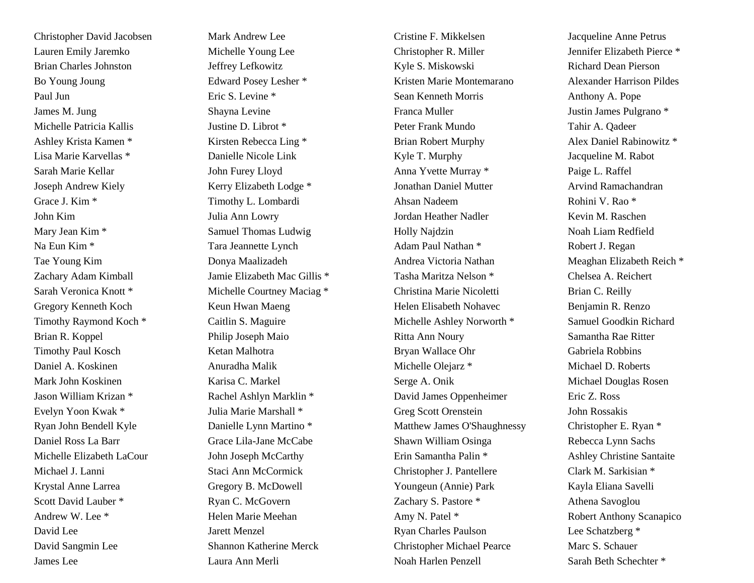Christopher David Jacobsen Mark Andrew Lee Lauren Emily Jaremko Michelle Young Lee Brian Charles Johnston Jeffrey Lefkowitz Bo Young Joung  $\qquad \qquad$  Edward Posey Lesher \* Paul Jun Eric S. Levine \* James M. Jung Shayna Levine Michelle Patricia Kallis Justine D. Librot \* Ashley Krista Kamen \* Kirsten Rebecca Ling \* Lisa Marie Karvellas \* Danielle Nicole Link Sarah Marie Kellar John Furey Lloyd Joseph Andrew Kiely Kerry Elizabeth Lodge \* Grace J. Kim \* Timothy L. Lombardi John Kim Julia Ann Lowry Mary Jean Kim \* Samuel Thomas Ludwig Na Eun Kim \* Tara Jeannette Lynch Tae Young Kim Donya Maalizadeh Gregory Kenneth Koch Keun Hwan Maeng Timothy Raymond Koch \* Caitlin S. Maguire Brian R. Koppel Philip Joseph Maio Timothy Paul Kosch Ketan Malhotra Daniel A. Koskinen **Anuradha Malik** Mark John Koskinen Karisa C. Markel Jason William Krizan \* Rachel Ashlyn Marklin \* Evelyn Yoon Kwak \* Julia Marie Marshall \* Ryan John Bendell Kyle Danielle Lynn Martino \* Daniel Ross La Barr Grace Lila-Jane McCabe Michelle Elizabeth LaCour John Joseph McCarthy Michael J. Lanni Staci Ann McCormick Krystal Anne Larrea Gregory B. McDowell Scott David Lauber \* Ryan C. McGovern Andrew W. Lee \* Helen Marie Meehan David Lee Jarett Menzel David Sangmin Lee Shannon Katherine Merck James Lee Laura Ann Merli

Zachary Adam Kimball Jamie Elizabeth Mac Gillis \* Sarah Veronica Knott \* Michelle Courtney Maciag \*

Cristine F. Mikkelsen Jacqueline Anne Petrus Christopher R. Miller Jennifer Elizabeth Pierce \* Kyle S. Miskowski Richard Dean Pierson Kristen Marie Montemarano Alexander Harrison Pildes Sean Kenneth Morris Anthony A. Pope Franca Muller Justin James Pulgrano \* Peter Frank Mundo Tahir A. Qadeer Brian Robert Murphy Alex Daniel Rabinowitz \* Kyle T. Murphy Jacqueline M. Rabot Anna Yvette Murray \* Paige L. Raffel Jonathan Daniel Mutter **Arvind Ramachandran** Ahsan Nadeem Rohini V. Rao \* Jordan Heather Nadler Kevin M. Raschen Holly Najdzin Noah Liam Redfield Adam Paul Nathan \* Robert J. Regan Andrea Victoria Nathan Meaghan Elizabeth Reich \* Tasha Maritza Nelson \* Chelsea A. Reichert Christina Marie Nicoletti Brian C. Reilly Helen Elisabeth Nohavec Benjamin R. Renzo Michelle Ashley Norworth \* Samuel Goodkin Richard Ritta Ann Noury Samantha Rae Ritter Bryan Wallace Ohr Gabriela Robbins Michelle Olejarz \* Michael D. Roberts Serge A. Onik Michael Douglas Rosen David James Oppenheimer Eric Z. Ross Greg Scott Orenstein John Rossakis Matthew James O'Shaughnessy Christopher E. Ryan \* Shawn William Osinga Rebecca Lynn Sachs Erin Samantha Palin \* Ashley Christine Santaite Christopher J. Pantellere Clark M. Sarkisian \* Youngeun (Annie) Park Kayla Eliana Savelli Zachary S. Pastore \* Athena Savoglou Amy N. Patel \* Robert Anthony Scanapico Ryan Charles Paulson Lee Schatzberg \* Christopher Michael Pearce Marc S. Schauer Noah Harlen Penzell Sarah Beth Schechter \*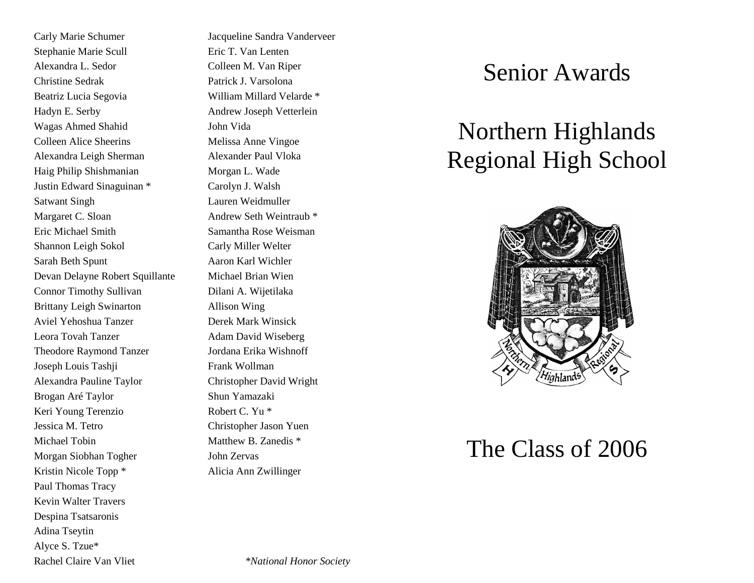Stephanie Marie Scull Eric T. Van Lenten Alexandra L. Sedor Colleen M. Van Riper Christine Sedrak Patrick J. Varsolona Beatriz Lucia Segovia William Millard Velarde \* Hadyn E. Serby **Andrew Joseph Vetterlein** Wagas Ahmed Shahid John Vida Colleen Alice Sheerins Melissa Anne Vingoe Alexandra Leigh Sherman Alexander Paul Vloka Haig Philip Shishmanian Morgan L. Wade Justin Edward Sinaguinan \* Carolyn J. Walsh Satwant Singh Lauren Weidmuller Margaret C. Sloan Andrew Seth Weintraub \* Eric Michael Smith Samantha Rose Weisman Shannon Leigh Sokol Carly Miller Welter Sarah Beth Spunt Aaron Karl Wichler Devan Delayne Robert Squillante Michael Brian Wien Connor Timothy Sullivan Dilani A. Wijetilaka Brittany Leigh Swinarton Allison Wing Aviel Yehoshua Tanzer Derek Mark Winsick Leora Tovah Tanzer Adam David Wiseberg Theodore Raymond Tanzer Jordana Erika Wishnoff Joseph Louis Tashji Frank Wollman Alexandra Pauline Taylor Christopher David Wright Brogan Aré Taylor Shun Yamazaki Keri Young Terenzio Robert C. Yu \* Jessica M. Tetro Christopher Jason Yuen Michael Tobin Matthew B. Zanedis \* Morgan Siobhan Togher John Zervas Kristin Nicole Topp \* Alicia Ann Zwillinger Paul Thomas Tracy Kevin Walter Travers Despina Tsatsaronis Adina Tseytin Alyce S. Tzue\*

Carly Marie Schumer Jacqueline Sandra Vanderveer

### Senior Awards

## Northern Highlands Regional High School



### The Class of 2006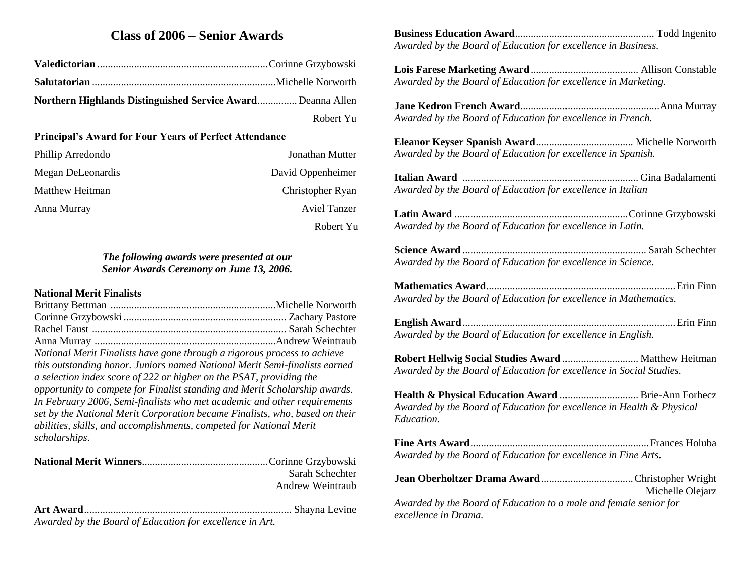### **Class of 2006 – Senior Awards**

| Northern Highlands Distinguished Service Award Deanna Allen |           |
|-------------------------------------------------------------|-----------|
|                                                             | Robert Yu |

#### **Principal's Award for Four Years of Perfect Attendance**

| Phillip Arredondo | Jonathan Mutter   |
|-------------------|-------------------|
| Megan DeLeonardis | David Oppenheimer |
| Matthew Heitman   | Christopher Ryan  |
| Anna Murray       | Aviel Tanzer      |
|                   | Robert Yu         |

#### *The following awards were presented at our Senior Awards Ceremony on June 13, 2006.*

#### **National Merit Finalists**

Brittany Bettman ...............................................................Michelle Norworth Corinne Grzybowski .............................................................. Zachary Pastore Rachel Faust .......................................................................... Sarah Schechter Anna Murray .....................................................................Andrew Weintraub *National Merit Finalists have gone through a rigorous process to achieve this outstanding honor. Juniors named National Merit Semi-finalists earned a selection index score of 222 or higher on the PSAT, providing the opportunity to compete for Finalist standing and Merit Scholarship awards. In February 2006, Semi-finalists who met academic and other requirements set by the National Merit Corporation became Finalists, who, based on their abilities, skills, and accomplishments, competed for National Merit scholarships*.

| Sarah Schechter  |
|------------------|
| Andrew Weintraub |
|                  |

*Awarded by the Board of Education for excellence in Art.*

**Business Education Award**..................................................... Todd Ingenito *Awarded by the Board of Education for excellence in Business.*

**Lois Farese Marketing Award**......................................... Allison Constable *Awarded by the Board of Education for excellence in Marketing.*

**Jane Kedron French Award**.....................................................Anna Murray *Awarded by the Board of Education for excellence in French.*

**Eleanor Keyser Spanish Award**..................................... Michelle Norworth *Awarded by the Board of Education for excellence in Spanish.*

**Italian Award** ................................................................... Gina Badalamenti *Awarded by the Board of Education for excellence in Italian*

**Latin Award** ..................................................................Corinne Grzybowski *Awarded by the Board of Education for excellence in Latin.*

**Science Award** ...................................................................... Sarah Schechter *Awarded by the Board of Education for excellence in Science.*

**Mathematics Award**........................................................................Erin Finn *Awarded by the Board of Education for excellence in Mathematics.*

**English Award**.................................................................................Erin Finn *Awarded by the Board of Education for excellence in English.*

**Robert Hellwig Social Studies Award** ............................. Matthew Heitman *Awarded by the Board of Education for excellence in Social Studies.*

**Health & Physical Education Award** .............................. Brie-Ann Forhecz *Awarded by the Board of Education for excellence in Health & Physical Education.*

**Fine Arts Award**....................................................................Frances Holuba *Awarded by the Board of Education for excellence in Fine Arts.*

**Jean Oberholtzer Drama Award**...................................Christopher Wright Michelle Olejarz

*Awarded by the Board of Education to a male and female senior for excellence in Drama.*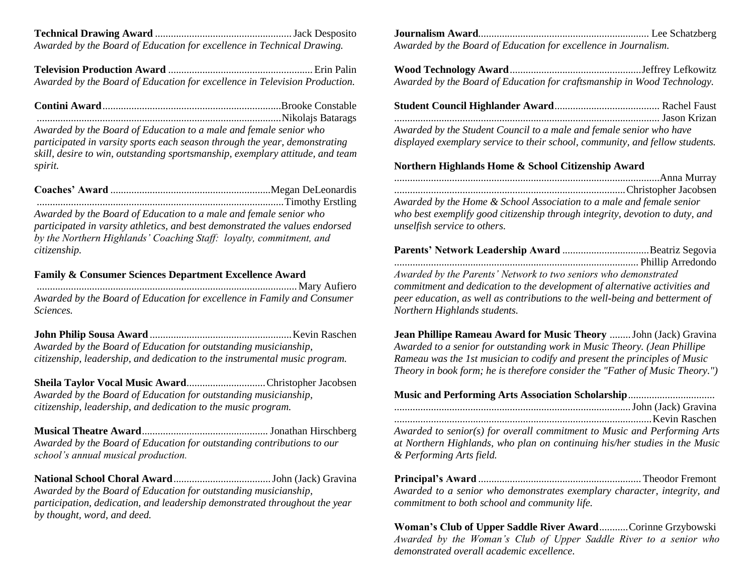**Technical Drawing Award** ....................................................Jack Desposito *Awarded by the Board of Education for excellence in Technical Drawing.*

**Television Production Award** .......................................................Erin Palin *Awarded by the Board of Education for excellence in Television Production.*

*Awarded by the Board of Education to a male and female senior who participated in varsity sports each season through the year, demonstrating skill, desire to win, outstanding sportsmanship, exemplary attitude, and team spirit.*

*Awarded by the Board of Education to a male and female senior who participated in varsity athletics, and best demonstrated the values endorsed by the Northern Highlands' Coaching Staff: loyalty, commitment, and citizenship.*

#### **Family & Consumer Sciences Department Excellence Award**

................................................................................................... Mary Aufiero *Awarded by the Board of Education for excellence in Family and Consumer Sciences.*

**John Philip Sousa Award** ......................................................Kevin Raschen *Awarded by the Board of Education for outstanding musicianship, citizenship, leadership, and dedication to the instrumental music program.* 

**Sheila Taylor Vocal Music Award**..............................Christopher Jacobsen *Awarded by the Board of Education for outstanding musicianship, citizenship, leadership, and dedication to the music program.*

**Musical Theatre Award**................................................ Jonathan Hirschberg *Awarded by the Board of Education for outstanding contributions to our school's annual musical production.*

**National School Choral Award**.....................................John (Jack) Gravina *Awarded by the Board of Education for outstanding musicianship, participation, dedication, and leadership demonstrated throughout the year by thought, word, and deed.*

**Journalism Award**................................................................. Lee Schatzberg *Awarded by the Board of Education for excellence in Journalism.*

**Wood Technology Award**..................................................Jeffrey Lefkowitz *Awarded by the Board of Education for craftsmanship in Wood Technology.*

*Awarded by the Student Council to a male and female senior who have displayed exemplary service to their school, community, and fellow students.*

#### **Northern Highlands Home & School Citizenship Award**

*Awarded by the Home & School Association to a male and female senior who best exemplify good citizenship through integrity, devotion to duty, and unselfish service to others.*

| Awarded by the Parents' Network to two seniors who demonstrated              |  |
|------------------------------------------------------------------------------|--|
| commitment and dedication to the development of alternative activities and   |  |
| peer education, as well as contributions to the well-being and betterment of |  |
| Northern Highlands students.                                                 |  |

**Jean Phillipe Rameau Award for Music Theory** ........John (Jack) Gravina *Awarded to a senior for outstanding work in Music Theory. (Jean Phillipe Rameau was the 1st musician to codify and present the principles of Music Theory in book form; he is therefore consider the "Father of Music Theory.")*

#### **Music and Performing Arts Association Scholarship**.................................

*Awarded to senior(s) for overall commitment to Music and Performing Arts at Northern Highlands, who plan on continuing his/her studies in the Music & Performing Arts field.*

**Principal's Award** .............................................................. Theodor Fremont *Awarded to a senior who demonstrates exemplary character, integrity, and commitment to both school and community life.*

**Woman's Club of Upper Saddle River Award**...........Corinne Grzybowski *Awarded by the Woman's Club of Upper Saddle River to a senior who demonstrated overall academic excellence.*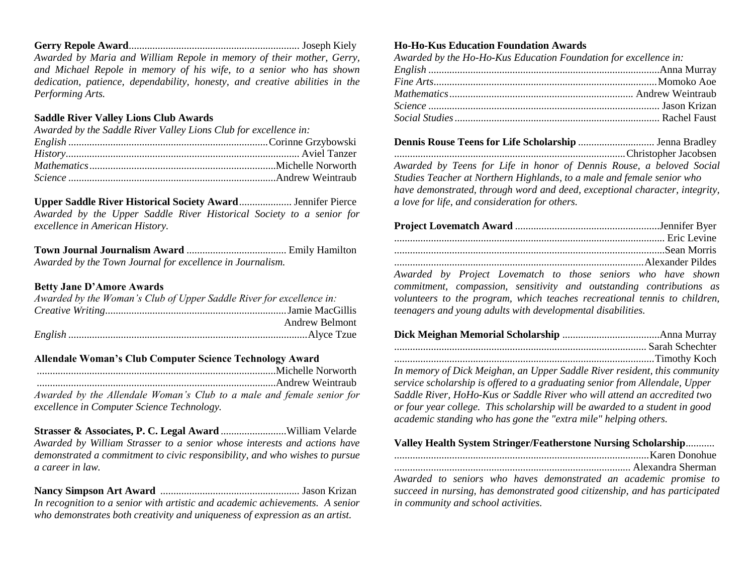**Gerry Repole Award**................................................................. Joseph Kiely *Awarded by Maria and William Repole in memory of their mother, Gerry, and Michael Repole in memory of his wife, to a senior who has shown dedication, patience, dependability, honesty, and creative abilities in the Performing Arts.*

#### **Saddle River Valley Lions Club Awards**

| Awarded by the Saddle River Valley Lions Club for excellence in: |  |
|------------------------------------------------------------------|--|
|                                                                  |  |
|                                                                  |  |
|                                                                  |  |
|                                                                  |  |

**Upper Saddle River Historical Society Award**.................... Jennifer Pierce *Awarded by the Upper Saddle River Historical Society to a senior for excellence in American History.*

**Town Journal Journalism Award** ...................................... Emily Hamilton *Awarded by the Town Journal for excellence in Journalism.*

#### **Betty Jane D'Amore Awards**

| Awarded by the Woman's Club of Upper Saddle River for excellence in: |  |
|----------------------------------------------------------------------|--|
|                                                                      |  |
| <b>Andrew Belmont</b>                                                |  |
|                                                                      |  |

#### **Allendale Woman's Club Computer Science Technology Award**

...........................................................................................Michelle Norworth ...........................................................................................Andrew Weintraub *Awarded by the Allendale Woman's Club to a male and female senior for excellence in Computer Science Technology.*

**Strasser & Associates, P. C. Legal Award** .........................William Velarde *Awarded by William Strasser to a senior whose interests and actions have demonstrated a commitment to civic responsibility, and who wishes to pursue a career in law.*

**Nancy Simpson Art Award** ..................................................... Jason Krizan *In recognition to a senior with artistic and academic achievements. A senior who demonstrates both creativity and uniqueness of expression as an artist.*

#### **Ho-Ho-Kus Education Foundation Awards**

| Awarded by the Ho-Ho-Kus Education Foundation for excellence in: |  |
|------------------------------------------------------------------|--|
|                                                                  |  |
|                                                                  |  |
|                                                                  |  |
|                                                                  |  |
|                                                                  |  |

**Dennis Rouse Teens for Life Scholarship** ............................. Jenna Bradley ........................................................................................Christopher Jacobsen *Awarded by Teens for Life in honor of Dennis Rouse, a beloved Social Studies Teacher at Northern Highlands, to a male and female senior who have demonstrated, through word and deed, exceptional character, integrity, a love for life, and consideration for others.*

*Awarded by Project Lovematch to those seniors who have shown commitment, compassion, sensitivity and outstanding contributions as volunteers to the program, which teaches recreational tennis to children, teenagers and young adults with developmental disabilities.*

| $\mathbf{r}$ contracts $\mathbf{r}$ cluster is the contract of $\mathbf{r}$ |  |  |  |
|-----------------------------------------------------------------------------|--|--|--|

*In memory of Dick Meighan, an Upper Saddle River resident, this community service scholarship is offered to a graduating senior from Allendale, Upper Saddle River, HoHo-Kus or Saddle River who will attend an accredited two or four year college. This scholarship will be awarded to a student in good academic standing who has gone the "extra mile" helping others.*

#### **Valley Health System Stringer/Featherstone Nursing Scholarship***...........* .................................................................................................Karen Donohue .......................................................................................... Alexandra Sherman

*Awarded to seniors who haves demonstrated an academic promise to succeed in nursing, has demonstrated good citizenship, and has participated in community and school activities.*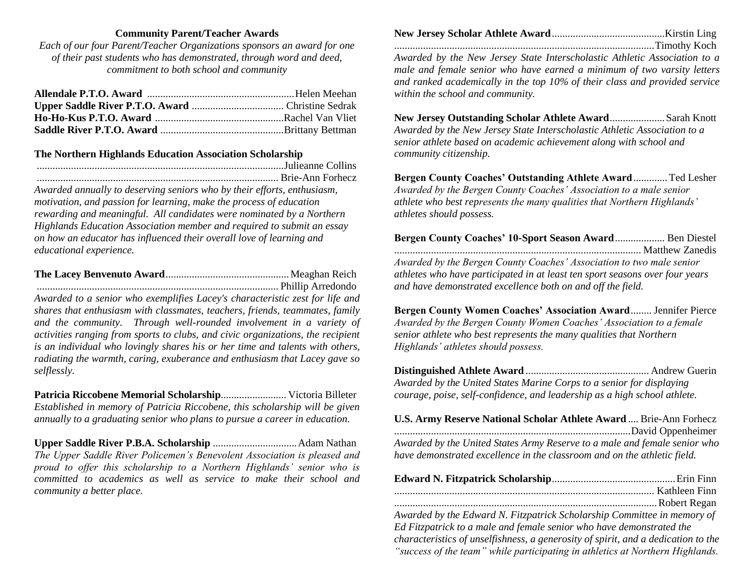#### **Community Parent/Teacher Awards**

*Each of our four Parent/Teacher Organizations sponsors an award for one of their past students who has demonstrated, through word and deed, commitment to both school and community*

#### **The Northern Highlands Education Association Scholarship**

*Awarded annually to deserving seniors who by their efforts, enthusiasm, motivation, and passion for learning, make the process of education rewarding and meaningful. All candidates were nominated by a Northern Highlands Education Association member and required to submit an essay on how an educator has influenced their overall love of learning and educational experience.*

............................................................................................ Phillip Arredondo *Awarded to a senior who exemplifies Lacey's characteristic zest for life and shares that enthusiasm with classmates, teachers, friends, teammates, family and the community. Through well-rounded involvement in a variety of activities ranging from sports to clubs, and civic organizations, the recipient is an individual who lovingly shares his or her time and talents with others, radiating the warmth, caring, exuberance and enthusiasm that Lacey gave so selflessly.*

**Patricia Riccobene Memorial Scholarship**......................... Victoria Billeter *Established in memory of Patricia Riccobene, this scholarship will be given annually to a graduating senior who plans to pursue a career in education.*

**Upper Saddle River P.B.A. Scholarship** ................................Adam Nathan *The Upper Saddle River Policemen's Benevolent Association is pleased and proud to offer this scholarship to a Northern Highlands' senior who is committed to academics as well as service to make their school and community a better place.*

...................................................................................................Timothy Koch *Awarded by the New Jersey State Interscholastic Athletic Association to a male and female senior who have earned a minimum of two varsity letters and ranked academically in the top 10% of their class and provided service within the school and community.*

**New Jersey Outstanding Scholar Athlete Award**.....................Sarah Knott *Awarded by the New Jersey State Interscholastic Athletic Association to a senior athlete based on academic achievement along with school and community citizenship.*

**Bergen County Coaches' Outstanding Athlete Award**.............Ted Lesher *Awarded by the Bergen County Coaches' Association to a male senior athlete who best represents the many qualities that Northern Highlands' athletes should possess.*

| Bergen County Coaches' 10-Sport Season Award Ben Diestel                     |  |
|------------------------------------------------------------------------------|--|
|                                                                              |  |
| Awarded by the Bergen County Coaches' Association to two male senior         |  |
| athletes who have participated in at least ten sport seasons over four years |  |
| and have demonstrated excellence both on and off the field.                  |  |

**Bergen County Women Coaches' Association Award**........ Jennifer Pierce *Awarded by the Bergen County Women Coaches' Association to a female senior athlete who best represents the many qualities that Northern Highlands' athletes should possess.*

**Distinguished Athlete Award** ............................................... Andrew Guerin *Awarded by the United States Marine Corps to a senior for displaying courage, poise, self-confidence, and leadership as a high school athlete.*

**U.S. Army Reserve National Scholar Athlete Award** .... Brie-Ann Forhecz ..........................................................................................David Oppenheimer *Awarded by the United States Army Reserve to a male and female senior who have demonstrated excellence in the classroom and on the athletic field.*

| Awarded by the Edward N. Fitzpatrick Scholarship Committee in memory of           |
|-----------------------------------------------------------------------------------|
| Ed Fitzpatrick to a male and female senior who have demonstrated the              |
| characteristics of unselfishness, a generosity of spirit, and a dedication to the |
| "success of the team" while participating in athletics at Northern Highlands.     |